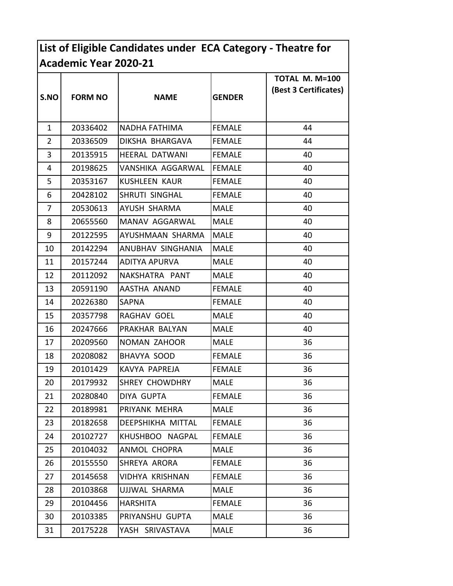| List of Eligible Candidates under ECA Category - Theatre for |                |                       |               |                                                |  |
|--------------------------------------------------------------|----------------|-----------------------|---------------|------------------------------------------------|--|
| Academic Year 2020-21                                        |                |                       |               |                                                |  |
| S.NO                                                         | <b>FORM NO</b> | <b>NAME</b>           | <b>GENDER</b> | <b>TOTAL M. M=100</b><br>(Best 3 Certificates) |  |
| $\mathbf{1}$                                                 | 20336402       | <b>NADHA FATHIMA</b>  | <b>FEMALE</b> | 44                                             |  |
| $\overline{2}$                                               | 20336509       | DIKSHA BHARGAVA       | <b>FEMALE</b> | 44                                             |  |
| 3                                                            | 20135915       | <b>HEERAL DATWANI</b> | <b>FEMALE</b> | 40                                             |  |
| 4                                                            | 20198625       | VANSHIKA AGGARWAL     | <b>FEMALE</b> | 40                                             |  |
| 5                                                            | 20353167       | <b>KUSHLEEN KAUR</b>  | <b>FEMALE</b> | 40                                             |  |
| 6                                                            | 20428102       | SHRUTI SINGHAL        | <b>FEMALE</b> | 40                                             |  |
| 7                                                            | 20530613       | AYUSH SHARMA          | <b>MALE</b>   | 40                                             |  |
| 8                                                            | 20655560       | MANAV AGGARWAL        | <b>MALE</b>   | 40                                             |  |
| 9                                                            | 20122595       | AYUSHMAAN SHARMA      | <b>MALE</b>   | 40                                             |  |
| 10                                                           | 20142294       | ANUBHAV SINGHANIA     | <b>MALE</b>   | 40                                             |  |
| 11                                                           | 20157244       | <b>ADITYA APURVA</b>  | <b>MALE</b>   | 40                                             |  |
| 12                                                           | 20112092       | NAKSHATRA PANT        | <b>MALE</b>   | 40                                             |  |
| 13                                                           | 20591190       | AASTHA ANAND          | <b>FEMALE</b> | 40                                             |  |
| 14                                                           | 20226380       | <b>SAPNA</b>          | <b>FEMALE</b> | 40                                             |  |
| 15                                                           | 20357798       | RAGHAV GOEL           | <b>MALE</b>   | 40                                             |  |
| 16                                                           | 20247666       | PRAKHAR BALYAN        | <b>MALE</b>   | 40                                             |  |
| 17                                                           | 20209560       | <b>NOMAN ZAHOOR</b>   | <b>MALE</b>   | 36                                             |  |
| 18                                                           | 20208082       | BHAVYA SOOD           | <b>FEMALE</b> | 36                                             |  |
| 19                                                           | 20101429       | KAVYA PAPREJA         | <b>FEMALE</b> | 36                                             |  |
| 20                                                           | 20179932       | SHREY CHOWDHRY        | MALE          | 36                                             |  |
| 21                                                           | 20280840       | DIYA GUPTA            | <b>FEMALE</b> | 36                                             |  |
| 22                                                           | 20189981       | PRIYANK MEHRA         | <b>MALE</b>   | 36                                             |  |
| 23                                                           | 20182658       | DEEPSHIKHA MITTAL     | <b>FEMALE</b> | 36                                             |  |
| 24                                                           | 20102727       | KHUSHBOO NAGPAL       | <b>FEMALE</b> | 36                                             |  |
| 25                                                           | 20104032       | ANMOL CHOPRA          | MALE          | 36                                             |  |
| 26                                                           | 20155550       | SHREYA ARORA          | <b>FEMALE</b> | 36                                             |  |
| 27                                                           | 20145658       | VIDHYA KRISHNAN       | <b>FEMALE</b> | 36                                             |  |
| 28                                                           | 20103868       | UJJWAL SHARMA         | <b>MALE</b>   | 36                                             |  |
| 29                                                           | 20104456       | HARSHITA              | <b>FEMALE</b> | 36                                             |  |
| 30                                                           | 20103385       | PRIYANSHU GUPTA       | <b>MALE</b>   | 36                                             |  |
| 31                                                           | 20175228       | YASH SRIVASTAVA       | <b>MALE</b>   | 36                                             |  |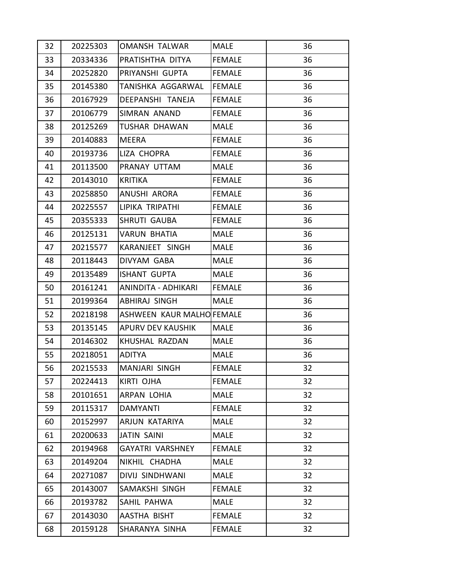| 32 | 20225303 | <b>OMANSH TALWAR</b>      | <b>MALE</b>   | 36 |
|----|----------|---------------------------|---------------|----|
| 33 | 20334336 | PRATISHTHA DITYA          | <b>FEMALE</b> | 36 |
| 34 | 20252820 | PRIYANSHI GUPTA           | FEMALE        | 36 |
| 35 | 20145380 | TANISHKA AGGARWAL         | <b>FEMALE</b> | 36 |
| 36 | 20167929 | DEEPANSHI TANEJA          | <b>FEMALE</b> | 36 |
| 37 | 20106779 | SIMRAN ANAND              | <b>FEMALE</b> | 36 |
| 38 | 20125269 | TUSHAR DHAWAN             | <b>MALE</b>   | 36 |
| 39 | 20140883 | MEERA                     | <b>FEMALE</b> | 36 |
| 40 | 20193736 | LIZA CHOPRA               | <b>FEMALE</b> | 36 |
| 41 | 20113500 | PRANAY UTTAM              | <b>MALE</b>   | 36 |
| 42 | 20143010 | <b>KRITIKA</b>            | <b>FEMALE</b> | 36 |
| 43 | 20258850 | ANUSHI ARORA              | <b>FEMALE</b> | 36 |
| 44 | 20225557 | LIPIKA TRIPATHI           | <b>FEMALE</b> | 36 |
| 45 | 20355333 | SHRUTI GAUBA              | <b>FEMALE</b> | 36 |
| 46 | 20125131 | <b>VARUN BHATIA</b>       | <b>MALE</b>   | 36 |
| 47 | 20215577 | KARANJEET SINGH           | <b>MALE</b>   | 36 |
| 48 | 20118443 | DIVYAM GABA               | <b>MALE</b>   | 36 |
| 49 | 20135489 | ISHANT GUPTA              | <b>MALE</b>   | 36 |
| 50 | 20161241 | ANINDITA - ADHIKARI       | <b>FEMALE</b> | 36 |
| 51 | 20199364 | ABHIRAJ SINGH             | <b>MALE</b>   | 36 |
| 52 | 20218198 | ASHWEEN KAUR MALHO FEMALE |               | 36 |
| 53 | 20135145 | <b>APURV DEV KAUSHIK</b>  | <b>MALE</b>   | 36 |
| 54 | 20146302 | KHUSHAL RAZDAN            | <b>MALE</b>   | 36 |
| 55 | 20218051 | ADITYA                    | <b>MALE</b>   | 36 |
| 56 | 20215533 | <b>MANJARI SINGH</b>      | <b>FEMALE</b> | 32 |
| 57 | 20224413 | KIRTI OJHA                | <b>FEMALE</b> | 32 |
| 58 | 20101651 | ARPAN LOHIA               | MALE          | 32 |
| 59 | 20115317 | <b>DAMYANTI</b>           | <b>FEMALE</b> | 32 |
| 60 | 20152997 | ARJUN KATARIYA            | <b>MALE</b>   | 32 |
| 61 | 20200633 | JATIN SAINI               | <b>MALE</b>   | 32 |
| 62 | 20194968 | GAYATRI VARSHNEY          | <b>FEMALE</b> | 32 |
| 63 | 20149204 | NIKHIL CHADHA             | <b>MALE</b>   | 32 |
| 64 | 20271087 | DIVIJ SINDHWANI           | <b>MALE</b>   | 32 |
| 65 | 20143007 | SAMAKSHI SINGH            | <b>FEMALE</b> | 32 |
| 66 | 20193782 | SAHIL PAHWA               | <b>MALE</b>   | 32 |
| 67 | 20143030 | AASTHA BISHT              | <b>FEMALE</b> | 32 |
| 68 | 20159128 | SHARANYA SINHA            | <b>FEMALE</b> | 32 |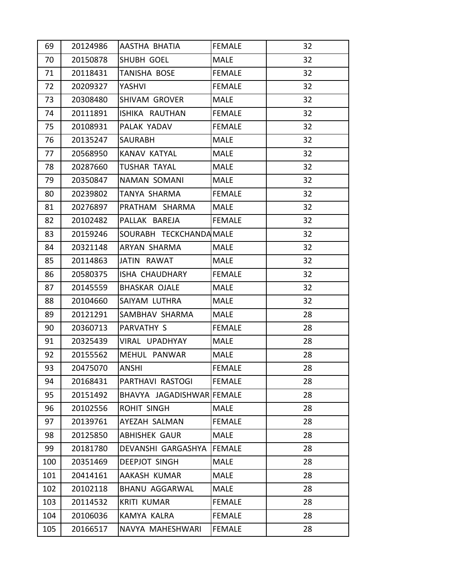| 69  | 20124986 | AASTHA BHATIA             | <b>FEMALE</b> | 32 |
|-----|----------|---------------------------|---------------|----|
| 70  | 20150878 | SHUBH GOEL                | <b>MALE</b>   | 32 |
| 71  | 20118431 | TANISHA BOSE              | <b>FEMALE</b> | 32 |
| 72  | 20209327 | YASHVI                    | <b>FEMALE</b> | 32 |
| 73  | 20308480 | SHIVAM GROVER             | MALE          | 32 |
| 74  | 20111891 | ISHIKA RAUTHAN            | <b>FEMALE</b> | 32 |
| 75  | 20108931 | PALAK YADAV               | <b>FEMALE</b> | 32 |
| 76  | 20135247 | SAURABH                   | <b>MALE</b>   | 32 |
| 77  | 20568950 | <b>KANAV KATYAL</b>       | <b>MALE</b>   | 32 |
| 78  | 20287660 | <b>TUSHAR TAYAL</b>       | <b>MALE</b>   | 32 |
| 79  | 20350847 | NAMAN SOMANI              | <b>MALE</b>   | 32 |
| 80  | 20239802 | TANYA SHARMA              | <b>FEMALE</b> | 32 |
| 81  | 20276897 | PRATHAM SHARMA            | <b>MALE</b>   | 32 |
| 82  | 20102482 | PALLAK BAREJA             | <b>FEMALE</b> | 32 |
| 83  | 20159246 | SOURABH TECKCHANDA MALE   |               | 32 |
| 84  | 20321148 | ARYAN SHARMA              | <b>MALE</b>   | 32 |
| 85  | 20114863 | JATIN RAWAT               | <b>MALE</b>   | 32 |
| 86  | 20580375 | ISHA CHAUDHARY            | <b>FEMALE</b> | 32 |
| 87  | 20145559 | <b>BHASKAR OJALE</b>      | MALE          | 32 |
| 88  | 20104660 | SAIYAM LUTHRA             | <b>MALE</b>   | 32 |
| 89  | 20121291 | SAMBHAV SHARMA            | <b>MALE</b>   | 28 |
| 90  | 20360713 | PARVATHY S                | <b>FEMALE</b> | 28 |
| 91  | 20325439 | VIRAL UPADHYAY            | <b>MALE</b>   | 28 |
| 92  | 20155562 | MEHUL PANWAR              | <b>MALE</b>   | 28 |
| 93  | 20475070 | <b>ANSHI</b>              | <b>FEMALE</b> | 28 |
| 94  | 20168431 | PARTHAVI RASTOGI          | <b>FEMALE</b> | 28 |
| 95  | 20151492 | BHAVYA JAGADISHWAR FEMALE |               | 28 |
| 96  | 20102556 | ROHIT SINGH               | <b>MALE</b>   | 28 |
| 97  | 20139761 | AYEZAH SALMAN             | <b>FEMALE</b> | 28 |
| 98  | 20125850 | <b>ABHISHEK GAUR</b>      | <b>MALE</b>   | 28 |
| 99  | 20181780 | DEVANSHI GARGASHYA        | <b>FEMALE</b> | 28 |
| 100 | 20351469 | <b>DEEPJOT SINGH</b>      | <b>MALE</b>   | 28 |
| 101 | 20414161 | AAKASH KUMAR              | <b>MALE</b>   | 28 |
| 102 | 20102118 | BHANU AGGARWAL            | <b>MALE</b>   | 28 |
| 103 | 20114532 | KRITI KUMAR               | <b>FEMALE</b> | 28 |
| 104 | 20106036 | KAMYA KALRA               | <b>FEMALE</b> | 28 |
| 105 | 20166517 | NAVYA MAHESHWARI          | <b>FEMALE</b> | 28 |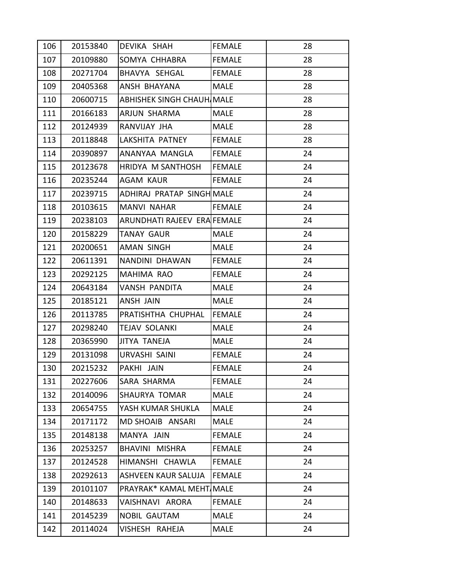| 106 | 20153840 | DEVIKA SHAH                      | <b>FEMALE</b> | 28 |
|-----|----------|----------------------------------|---------------|----|
| 107 | 20109880 | SOMYA CHHABRA                    | <b>FEMALE</b> | 28 |
| 108 | 20271704 | BHAVYA SEHGAL                    | <b>FEMALE</b> | 28 |
| 109 | 20405368 | ANSH BHAYANA                     | <b>MALE</b>   | 28 |
| 110 | 20600715 | <b>ABHISHEK SINGH CHAUH MALE</b> |               | 28 |
| 111 | 20166183 | ARJUN SHARMA                     | <b>MALE</b>   | 28 |
| 112 | 20124939 | RANVIJAY JHA                     | <b>MALE</b>   | 28 |
| 113 | 20118848 | LAKSHITA PATNEY                  | <b>FEMALE</b> | 28 |
| 114 | 20390897 | ANANYAA MANGLA                   | <b>FEMALE</b> | 24 |
| 115 | 20123678 | HRIDYA M SANTHOSH                | <b>FEMALE</b> | 24 |
| 116 | 20235244 | AGAM KAUR                        | <b>FEMALE</b> | 24 |
| 117 | 20239715 | ADHIRAJ PRATAP SINGH MALE        |               | 24 |
| 118 | 20103615 | MANVI NAHAR                      | <b>FEMALE</b> | 24 |
| 119 | 20238103 | ARUNDHATI RAJEEV ERA FEMALE      |               | 24 |
| 120 | 20158229 | TANAY GAUR                       | <b>MALE</b>   | 24 |
| 121 | 20200651 | <b>AMAN SINGH</b>                | MALE          | 24 |
| 122 | 20611391 | NANDINI DHAWAN                   | <b>FEMALE</b> | 24 |
| 123 | 20292125 | MAHIMA RAO                       | <b>FEMALE</b> | 24 |
| 124 | 20643184 | VANSH PANDITA                    | MALE          | 24 |
| 125 | 20185121 | ANSH JAIN                        | <b>MALE</b>   | 24 |
| 126 | 20113785 | PRATISHTHA CHUPHAL               | <b>FEMALE</b> | 24 |
| 127 | 20298240 | <b>TEJAV SOLANKI</b>             | <b>MALE</b>   | 24 |
| 128 | 20365990 | JITYA TANEJA                     | <b>MALE</b>   | 24 |
| 129 | 20131098 | URVASHI SAINI                    | <b>FEMALE</b> | 24 |
| 130 | 20215232 | PAKHI JAIN                       | <b>FEMALE</b> | 24 |
| 131 | 20227606 | SARA SHARMA                      | <b>FEMALE</b> | 24 |
| 132 | 20140096 | SHAURYA TOMAR                    | MALE          | 24 |
| 133 | 20654755 | YASH KUMAR SHUKLA                | <b>MALE</b>   | 24 |
| 134 | 20171172 | MD SHOAIB ANSARI                 | MALE          | 24 |
| 135 | 20148138 | MANYA JAIN                       | <b>FEMALE</b> | 24 |
| 136 | 20253257 | BHAVINI MISHRA                   | <b>FEMALE</b> | 24 |
| 137 | 20124528 | HIMANSHI CHAWLA                  | <b>FEMALE</b> | 24 |
| 138 | 20292613 | ASHVEEN KAUR SALUJA              | <b>FEMALE</b> | 24 |
| 139 | 20101107 | PRAYRAK* KAMAL MEHT MALE         |               | 24 |
| 140 | 20148633 | VAISHNAVI ARORA                  | <b>FEMALE</b> | 24 |
| 141 | 20145239 | <b>NOBIL GAUTAM</b>              | <b>MALE</b>   | 24 |
| 142 | 20114024 | VISHESH RAHEJA                   | <b>MALE</b>   | 24 |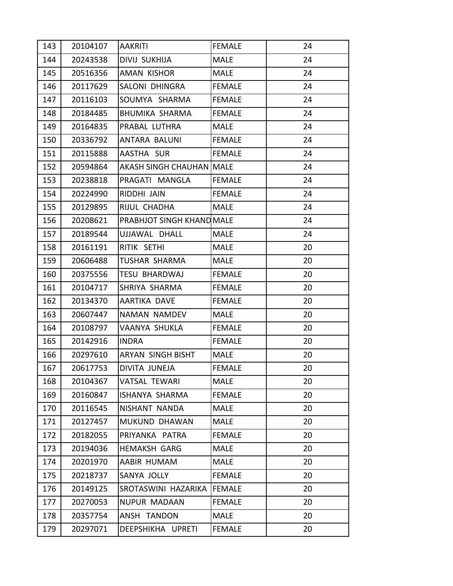| 143 | 20104107 | <b>AAKRITI</b>            | <b>FEMALE</b> | 24 |
|-----|----------|---------------------------|---------------|----|
| 144 | 20243538 | DIVIJ SUKHIJA             | <b>MALE</b>   | 24 |
| 145 | 20516356 | AMAN KISHOR               | <b>MALE</b>   | 24 |
| 146 | 20117629 | SALONI DHINGRA            | <b>FEMALE</b> | 24 |
| 147 | 20116103 | SOUMYA SHARMA             | <b>FEMALE</b> | 24 |
| 148 | 20184485 | <b>BHUMIKA SHARMA</b>     | <b>FEMALE</b> | 24 |
| 149 | 20164835 | PRABAL LUTHRA             | <b>MALE</b>   | 24 |
| 150 | 20336792 | ANTARA BALUNI             | <b>FEMALE</b> | 24 |
| 151 | 20115888 | AASTHA SUR                | <b>FEMALE</b> | 24 |
| 152 | 20594864 | AKASH SINGH CHAUHAN MALE  |               | 24 |
| 153 | 20238818 | PRAGATI MANGLA            | <b>FEMALE</b> | 24 |
| 154 | 20224990 | RIDDHI JAIN               | <b>FEMALE</b> | 24 |
| 155 | 20129895 | RIJUL CHADHA              | <b>MALE</b>   | 24 |
| 156 | 20208621 | PRABHJOT SINGH KHAND MALE |               | 24 |
| 157 | 20189544 | UJJAWAL DHALL             | <b>MALE</b>   | 24 |
| 158 | 20161191 | RITIK SETHI               | <b>MALE</b>   | 20 |
| 159 | 20606488 | TUSHAR SHARMA             | <b>MALE</b>   | 20 |
| 160 | 20375556 | <b>TESU BHARDWAJ</b>      | <b>FEMALE</b> | 20 |
| 161 | 20104717 | SHRIYA SHARMA             | <b>FEMALE</b> | 20 |
| 162 | 20134370 | AARTIKA DAVE              | <b>FEMALE</b> | 20 |
| 163 | 20607447 | NAMAN NAMDEV              | <b>MALE</b>   | 20 |
| 164 | 20108797 | VAANYA SHUKLA             | <b>FEMALE</b> | 20 |
| 165 | 20142916 | <b>INDRA</b>              | <b>FEMALE</b> | 20 |
| 166 | 20297610 | ARYAN SINGH BISHT         | <b>MALE</b>   | 20 |
| 167 | 20617753 | DIVITA JUNEJA             | FEMALE        | 20 |
| 168 | 20104367 | VATSAL TEWARI             | MALE          | 20 |
| 169 | 20160847 | ISHANYA SHARMA            | <b>FEMALE</b> | 20 |
| 170 | 20116545 | NISHANT NANDA             | <b>MALE</b>   | 20 |
| 171 | 20127457 | MUKUND DHAWAN             | <b>MALE</b>   | 20 |
| 172 | 20182055 | PRIYANKA PATRA            | <b>FEMALE</b> | 20 |
| 173 | 20194036 | <b>HEMAKSH GARG</b>       | <b>MALE</b>   | 20 |
| 174 | 20201970 | AABIR HUMAM               | <b>MALE</b>   | 20 |
| 175 | 20218737 | SANYA JOLLY               | <b>FEMALE</b> | 20 |
| 176 | 20149125 | SROTASWINI HAZARIKA       | <b>FEMALE</b> | 20 |
| 177 | 20270053 | NUPUR MADAAN              | <b>FEMALE</b> | 20 |
| 178 | 20357754 | ANSH TANDON               | MALE          | 20 |
| 179 | 20297071 | DEEPSHIKHA UPRETI         | <b>FEMALE</b> | 20 |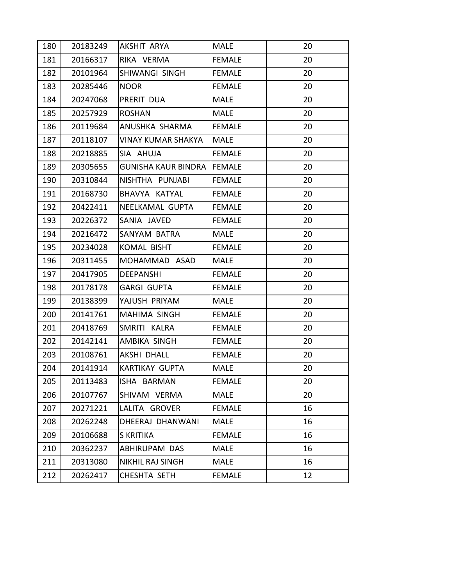| 180 | 20183249 | AKSHIT ARYA                       | MALE          | 20 |
|-----|----------|-----------------------------------|---------------|----|
| 181 | 20166317 | RIKA VERMA                        | <b>FEMALE</b> | 20 |
| 182 | 20101964 | SHIWANGI SINGH                    | <b>FEMALE</b> | 20 |
| 183 | 20285446 | <b>NOOR</b>                       | <b>FEMALE</b> | 20 |
| 184 | 20247068 | PRERIT DUA                        | <b>MALE</b>   | 20 |
| 185 | 20257929 | <b>ROSHAN</b>                     | <b>MALE</b>   | 20 |
| 186 | 20119684 | ANUSHKA SHARMA                    | <b>FEMALE</b> | 20 |
| 187 | 20118107 | VINAY KUMAR SHAKYA                | MALE          | 20 |
| 188 | 20218885 | SIA AHUJA                         | <b>FEMALE</b> | 20 |
| 189 | 20305655 | <b>GUNISHA KAUR BINDRA FEMALE</b> |               | 20 |
| 190 | 20310844 | NISHTHA PUNJABI                   | <b>FEMALE</b> | 20 |
| 191 | 20168730 | BHAVYA KATYAL                     | <b>FEMALE</b> | 20 |
| 192 | 20422411 | NEELKAMAL GUPTA                   | <b>FEMALE</b> | 20 |
| 193 | 20226372 | SANIA JAVED                       | <b>FEMALE</b> | 20 |
| 194 | 20216472 | SANYAM BATRA                      | <b>MALE</b>   | 20 |
| 195 | 20234028 | KOMAL BISHT                       | <b>FEMALE</b> | 20 |
| 196 | 20311455 | MOHAMMAD ASAD                     | <b>MALE</b>   | 20 |
| 197 | 20417905 | <b>DEEPANSHI</b>                  | <b>FEMALE</b> | 20 |
| 198 | 20178178 | <b>GARGI GUPTA</b>                | <b>FEMALE</b> | 20 |
| 199 | 20138399 | YAJUSH PRIYAM                     | <b>MALE</b>   | 20 |
| 200 | 20141761 | MAHIMA SINGH                      | <b>FEMALE</b> | 20 |
| 201 | 20418769 | SMRITI KALRA                      | <b>FEMALE</b> | 20 |
| 202 | 20142141 | AMBIKA SINGH                      | <b>FEMALE</b> | 20 |
| 203 | 20108761 | AKSHI DHALL                       | <b>FEMALE</b> | 20 |
| 204 | 20141914 | <b>KARTIKAY GUPTA</b>             | <b>MALE</b>   | 20 |
| 205 | 20113483 | ISHA BARMAN                       | <b>FEMALE</b> | 20 |
| 206 | 20107767 | SHIVAM VERMA                      | MALE          | 20 |
| 207 | 20271221 | LALITA GROVER                     | <b>FEMALE</b> | 16 |
| 208 | 20262248 | DHEERAJ DHANWANI                  | <b>MALE</b>   | 16 |
| 209 | 20106688 | S KRITIKA                         | <b>FEMALE</b> | 16 |
| 210 | 20362237 | ABHIRUPAM DAS                     | <b>MALE</b>   | 16 |
| 211 | 20313080 | NIKHIL RAJ SINGH                  | <b>MALE</b>   | 16 |
| 212 | 20262417 | CHESHTA SETH                      | <b>FEMALE</b> | 12 |